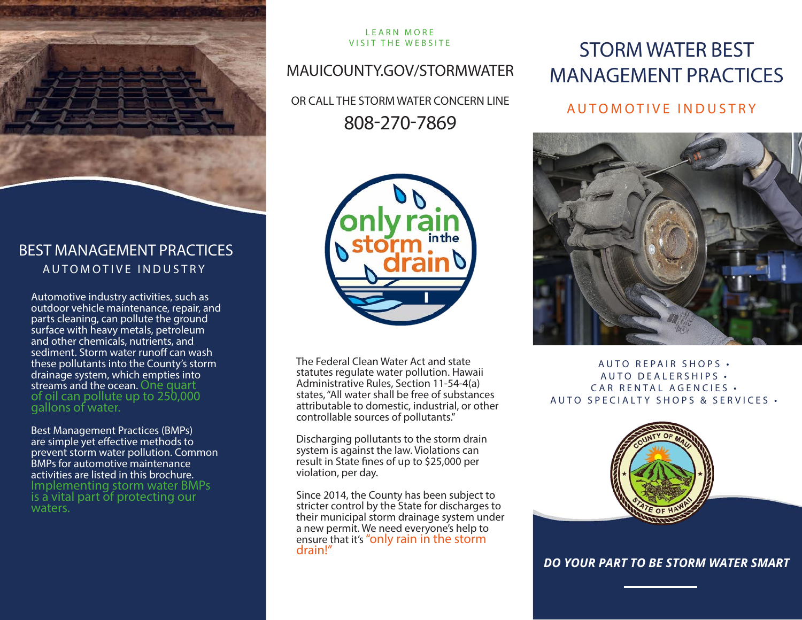

### BEST MANAGEMENT PRACTICES AUTOMOTIVE INDUSTRY

Automotive industry activities, such as outdoor vehicle maintenance, repair, and parts cleaning, can pollute the ground surface with heavy metals, petroleum and other chemicals, nutrients, and sediment. Storm water runoff can wash these pollutants into the County's storm drainage system, which empties into streams and the ocean. One quart<br>of oil can pollute up to 250,000 gallons of water.

Best Management Practices (BMPs) are simple yet effective methods to prevent storm water pollution. Common BMPs for automotive maintenance activities are listed in this brochure. Implementing storm water BMPs is a vital part of protecting our waters.

# LEARN MORE

# MAUICOUNTY.GOV/STORMWATER

OR CALL THE STORM WATER CONCERN LINE 808-270-7869



The Federal Clean Water Act and state statutes regulate water pollution. Hawaii Administrative Rules, Section 11-54-4(a) states, "All water shall be free of substances attributable to domestic, industrial, or other controllable sources of pollutants."

Discharging pollutants to the storm drain system is against the law. Violations can result in State fines of up to \$25,000 per violation, per day.

Since 2014, the County has been subject to stricter control by the State for discharges to their municipal storm drainage system under a new permit. We need everyone's help to ensure that it's "only rain in the storm<br>drain!"

# VISIT THE WEBSITE STORM WATER BEST MANAGEMENT PRACTICES

## AUTOMOTIVE INDUSTRY



AUTO REPAIR SHOPS . AUTO DEALERSHIPS • CAR RENTAL AGENCIES . AUTO SPECIALTY SHOPS & SERVICES •



*DO YOUR PART TO BE STORM WATER SMART*